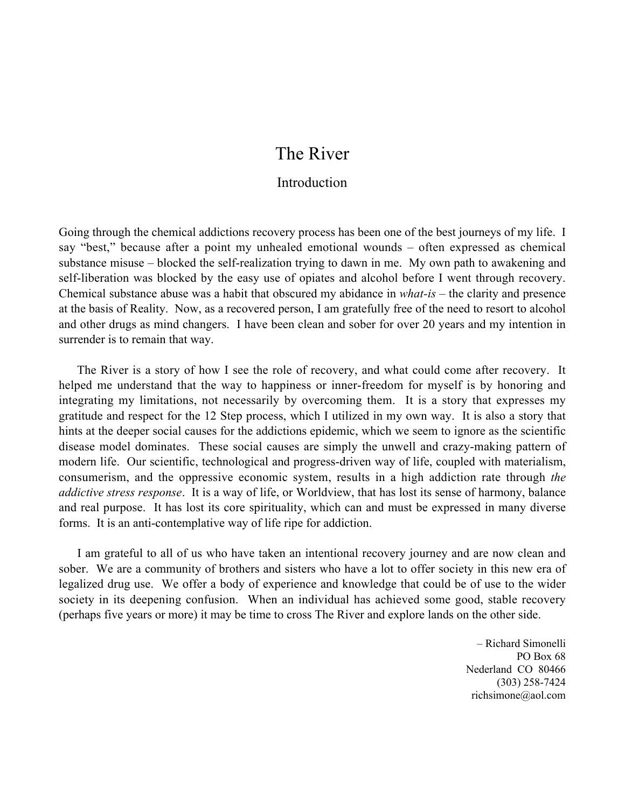# The River

## **Introduction**

Going through the chemical addictions recovery process has been one of the best journeys of my life. I say "best," because after a point my unhealed emotional wounds – often expressed as chemical substance misuse – blocked the self-realization trying to dawn in me. My own path to awakening and self-liberation was blocked by the easy use of opiates and alcohol before I went through recovery. Chemical substance abuse was a habit that obscured my abidance in *what-is* – the clarity and presence at the basis of Reality. Now, as a recovered person, I am gratefully free of the need to resort to alcohol and other drugs as mind changers. I have been clean and sober for over 20 years and my intention in surrender is to remain that way.

The River is a story of how I see the role of recovery, and what could come after recovery. It helped me understand that the way to happiness or inner-freedom for myself is by honoring and integrating my limitations, not necessarily by overcoming them. It is a story that expresses my gratitude and respect for the 12 Step process, which I utilized in my own way. It is also a story that hints at the deeper social causes for the addictions epidemic, which we seem to ignore as the scientific disease model dominates. These social causes are simply the unwell and crazy-making pattern of modern life. Our scientific, technological and progress-driven way of life, coupled with materialism, consumerism, and the oppressive economic system, results in a high addiction rate through *the addictive stress response*. It is a way of life, or Worldview, that has lost its sense of harmony, balance and real purpose. It has lost its core spirituality, which can and must be expressed in many diverse forms. It is an anti-contemplative way of life ripe for addiction.

I am grateful to all of us who have taken an intentional recovery journey and are now clean and sober. We are a community of brothers and sisters who have a lot to offer society in this new era of legalized drug use. We offer a body of experience and knowledge that could be of use to the wider society in its deepening confusion. When an individual has achieved some good, stable recovery (perhaps five years or more) it may be time to cross The River and explore lands on the other side.

> – Richard Simonelli PO Box 68 Nederland CO 80466 (303) 258-7424 richsimone@aol.com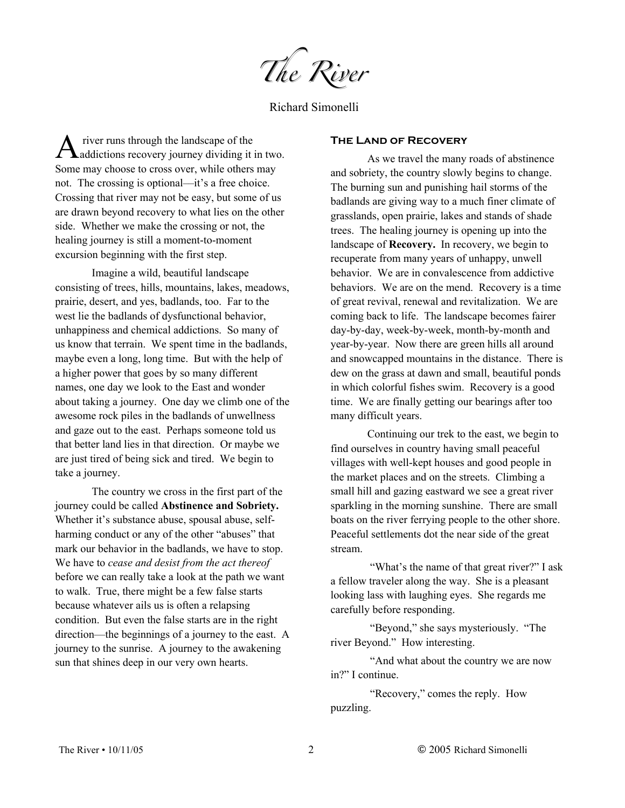*The River* 

Richard Simonelli

 river runs through the landscape of the  $\mathbf A$  river runs through the landscape of the<br>addictions recovery journey dividing it in two. Some may choose to cross over, while others may not. The crossing is optional—it's a free choice. Crossing that river may not be easy, but some of us are drawn beyond recovery to what lies on the other side. Whether we make the crossing or not, the healing journey is still a moment-to-moment excursion beginning with the first step.

Imagine a wild, beautiful landscape consisting of trees, hills, mountains, lakes, meadows, prairie, desert, and yes, badlands, too. Far to the west lie the badlands of dysfunctional behavior, unhappiness and chemical addictions. So many of us know that terrain. We spent time in the badlands, maybe even a long, long time. But with the help of a higher power that goes by so many different names, one day we look to the East and wonder about taking a journey. One day we climb one of the awesome rock piles in the badlands of unwellness and gaze out to the east. Perhaps someone told us that better land lies in that direction. Or maybe we are just tired of being sick and tired. We begin to take a journey.

The country we cross in the first part of the journey could be called **Abstinence and Sobriety.** Whether it's substance abuse, spousal abuse, selfharming conduct or any of the other "abuses" that mark our behavior in the badlands, we have to stop. We have to *cease and desist from the act thereof* before we can really take a look at the path we want to walk. True, there might be a few false starts because whatever ails us is often a relapsing condition. But even the false starts are in the right direction—the beginnings of a journey to the east. A journey to the sunrise. A journey to the awakening sun that shines deep in our very own hearts.

#### **The Land of Recovery**

As we travel the many roads of abstinence and sobriety, the country slowly begins to change. The burning sun and punishing hail storms of the badlands are giving way to a much finer climate of grasslands, open prairie, lakes and stands of shade trees. The healing journey is opening up into the landscape of **Recovery.** In recovery, we begin to recuperate from many years of unhappy, unwell behavior. We are in convalescence from addictive behaviors. We are on the mend. Recovery is a time of great revival, renewal and revitalization. We are coming back to life. The landscape becomes fairer day-by-day, week-by-week, month-by-month and year-by-year. Now there are green hills all around and snowcapped mountains in the distance. There is dew on the grass at dawn and small, beautiful ponds in which colorful fishes swim. Recovery is a good time. We are finally getting our bearings after too many difficult years.

Continuing our trek to the east, we begin to find ourselves in country having small peaceful villages with well-kept houses and good people in the market places and on the streets. Climbing a small hill and gazing eastward we see a great river sparkling in the morning sunshine. There are small boats on the river ferrying people to the other shore. Peaceful settlements dot the near side of the great stream.

"What's the name of that great river?" I ask a fellow traveler along the way. She is a pleasant looking lass with laughing eyes. She regards me carefully before responding.

 "Beyond," she says mysteriously. "The river Beyond." How interesting.

 "And what about the country we are now in?" I continue.

 "Recovery," comes the reply. How puzzling.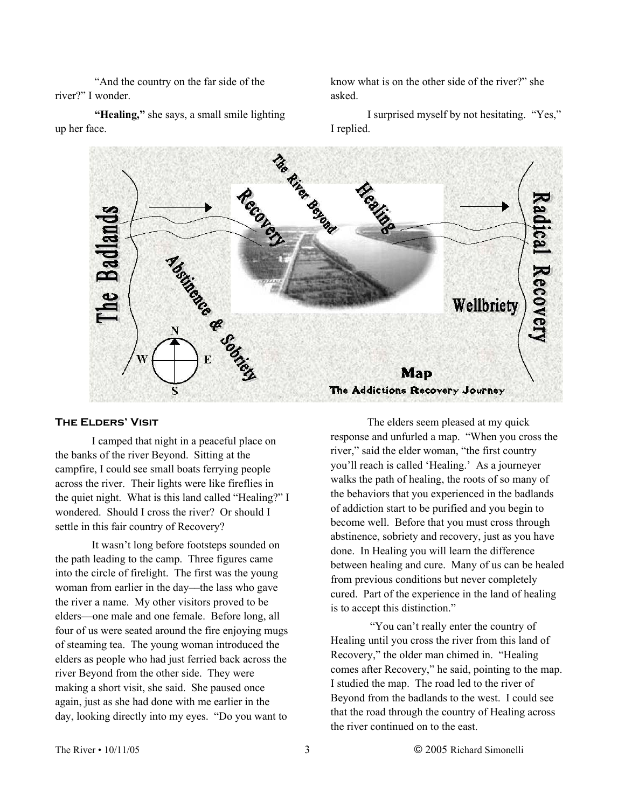"And the country on the far side of the river?" I wonder.

 **"Healing,"** she says, a small smile lighting up her face.

know what is on the other side of the river?" she asked.

I surprised myself by not hesitating. "Yes," I replied.



#### **The Elders' Visit**

I camped that night in a peaceful place on the banks of the river Beyond. Sitting at the campfire, I could see small boats ferrying people across the river. Their lights were like fireflies in the quiet night. What is this land called "Healing?" I wondered. Should I cross the river? Or should I settle in this fair country of Recovery?

It wasn't long before footsteps sounded on the path leading to the camp. Three figures came into the circle of firelight. The first was the young woman from earlier in the day—the lass who gave the river a name. My other visitors proved to be elders—one male and one female. Before long, all four of us were seated around the fire enjoying mugs of steaming tea. The young woman introduced the elders as people who had just ferried back across the river Beyond from the other side. They were making a short visit, she said. She paused once again, just as she had done with me earlier in the day, looking directly into my eyes. "Do you want to

The elders seem pleased at my quick response and unfurled a map. "When you cross the river," said the elder woman, "the first country you'll reach is called 'Healing.' As a journeyer walks the path of healing, the roots of so many of the behaviors that you experienced in the badlands of addiction start to be purified and you begin to become well. Before that you must cross through abstinence, sobriety and recovery, just as you have done. In Healing you will learn the difference between healing and cure. Many of us can be healed from previous conditions but never completely cured. Part of the experience in the land of healing is to accept this distinction."

 "You can't really enter the country of Healing until you cross the river from this land of Recovery," the older man chimed in. "Healing comes after Recovery," he said, pointing to the map. I studied the map. The road led to the river of Beyond from the badlands to the west. I could see that the road through the country of Healing across the river continued on to the east.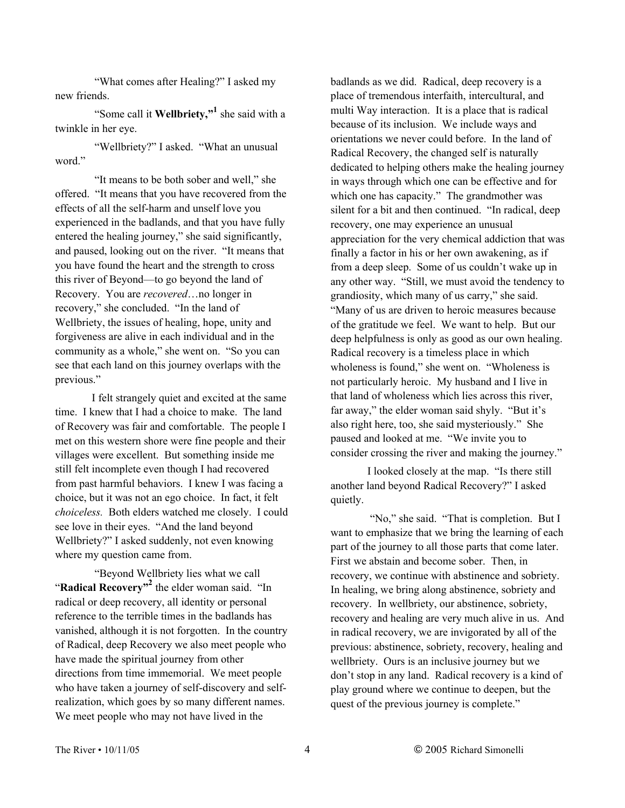"What comes after Healing?" I asked my new friends.

 "Some call it **Wellbriety,"1** she said with a twinkle in her eye.

 "Wellbriety?" I asked. "What an unusual word."

 "It means to be both sober and well," she offered. "It means that you have recovered from the effects of all the self-harm and unself love you experienced in the badlands, and that you have fully entered the healing journey," she said significantly, and paused, looking out on the river. "It means that you have found the heart and the strength to cross this river of Beyond—to go beyond the land of Recovery. You are *recovered*…no longer in recovery," she concluded. "In the land of Wellbriety, the issues of healing, hope, unity and forgiveness are alive in each individual and in the community as a whole," she went on. "So you can see that each land on this journey overlaps with the previous."

I felt strangely quiet and excited at the same time. I knew that I had a choice to make. The land of Recovery was fair and comfortable. The people I met on this western shore were fine people and their villages were excellent. But something inside me still felt incomplete even though I had recovered from past harmful behaviors. I knew I was facing a choice, but it was not an ego choice. In fact, it felt *choiceless.* Both elders watched me closely. I could see love in their eyes. "And the land beyond Wellbriety?" I asked suddenly, not even knowing where my question came from.

 "Beyond Wellbriety lies what we call "Radical Recovery"<sup>2</sup> the elder woman said. "In radical or deep recovery, all identity or personal reference to the terrible times in the badlands has vanished, although it is not forgotten. In the country of Radical, deep Recovery we also meet people who have made the spiritual journey from other directions from time immemorial. We meet people who have taken a journey of self-discovery and selfrealization, which goes by so many different names. We meet people who may not have lived in the

badlands as we did. Radical, deep recovery is a place of tremendous interfaith, intercultural, and multi Way interaction. It is a place that is radical because of its inclusion. We include ways and orientations we never could before. In the land of Radical Recovery, the changed self is naturally dedicated to helping others make the healing journey in ways through which one can be effective and for which one has capacity." The grandmother was silent for a bit and then continued. "In radical, deep recovery, one may experience an unusual appreciation for the very chemical addiction that was finally a factor in his or her own awakening, as if from a deep sleep. Some of us couldn't wake up in any other way. "Still, we must avoid the tendency to grandiosity, which many of us carry," she said. "Many of us are driven to heroic measures because of the gratitude we feel. We want to help. But our deep helpfulness is only as good as our own healing. Radical recovery is a timeless place in which wholeness is found," she went on. "Wholeness is not particularly heroic. My husband and I live in that land of wholeness which lies across this river, far away," the elder woman said shyly. "But it's also right here, too, she said mysteriously." She paused and looked at me. "We invite you to consider crossing the river and making the journey."

I looked closely at the map. "Is there still another land beyond Radical Recovery?" I asked quietly.

 "No," she said. "That is completion. But I want to emphasize that we bring the learning of each part of the journey to all those parts that come later. First we abstain and become sober. Then, in recovery, we continue with abstinence and sobriety. In healing, we bring along abstinence, sobriety and recovery. In wellbriety, our abstinence, sobriety, recovery and healing are very much alive in us. And in radical recovery, we are invigorated by all of the previous: abstinence, sobriety, recovery, healing and wellbriety. Ours is an inclusive journey but we don't stop in any land. Radical recovery is a kind of play ground where we continue to deepen, but the quest of the previous journey is complete."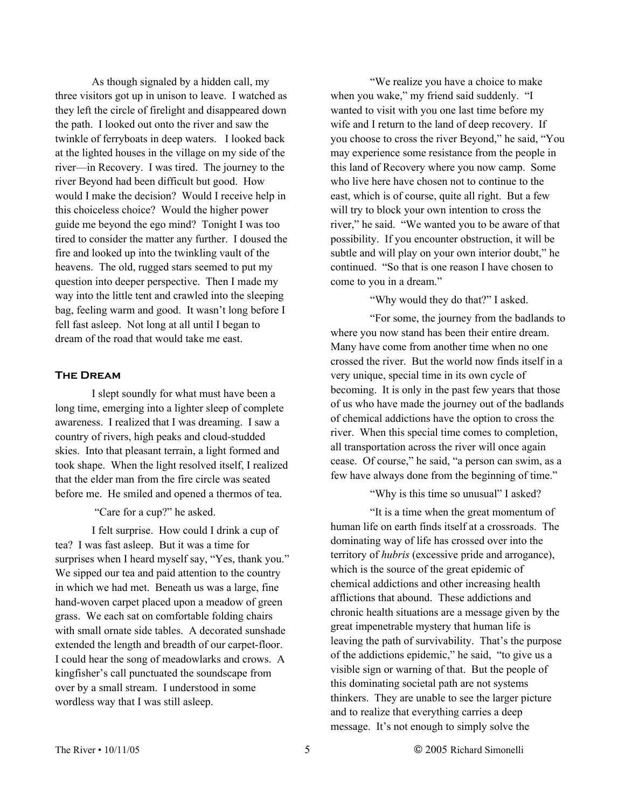As though signaled by a hidden call, my three visitors got up in unison to leave. I watched as they left the circle of firelight and disappeared down the path. I looked out onto the river and saw the twinkle of ferryboats in deep waters. I looked back at the lighted houses in the village on my side of the river––in Recovery. I was tired. The journey to the river Beyond had been difficult but good. How would I make the decision? Would I receive help in this choiceless choice? Would the higher power guide me beyond the ego mind? Tonight I was too tired to consider the matter any further. I doused the fire and looked up into the twinkling vault of the heavens. The old, rugged stars seemed to put my question into deeper perspective. Then I made my way into the little tent and crawled into the sleeping bag, feeling warm and good. It wasn't long before I fell fast asleep. Not long at all until I began to dream of the road that would take me east.

#### **The Dream**

I slept soundly for what must have been a long time, emerging into a lighter sleep of complete awareness. I realized that I was dreaming. I saw a country of rivers, high peaks and cloud-studded skies. Into that pleasant terrain, a light formed and took shape. When the light resolved itself, I realized that the elder man from the fire circle was seated before me. He smiled and opened a thermos of tea.

"Care for a cup?" he asked.

I felt surprise. How could I drink a cup of tea? I was fast asleep. But it was a time for surprises when I heard myself say, "Yes, thank you." We sipped our tea and paid attention to the country in which we had met. Beneath us was a large, fine hand-woven carpet placed upon a meadow of green grass. We each sat on comfortable folding chairs with small ornate side tables. A decorated sunshade extended the length and breadth of our carpet-floor. I could hear the song of meadowlarks and crows. A kingfisher's call punctuated the soundscape from over by a small stream. I understood in some wordless way that I was still asleep.

 "We realize you have a choice to make when you wake," my friend said suddenly. "I wanted to visit with you one last time before my wife and I return to the land of deep recovery. If you choose to cross the river Beyond," he said, "You may experience some resistance from the people in this land of Recovery where you now camp. Some who live here have chosen not to continue to the east, which is of course, quite all right. But a few will try to block your own intention to cross the river," he said. "We wanted you to be aware of that possibility. If you encounter obstruction, it will be subtle and will play on your own interior doubt," he continued. "So that is one reason I have chosen to come to you in a dream."

"Why would they do that?" I asked.

 "For some, the journey from the badlands to where you now stand has been their entire dream. Many have come from another time when no one crossed the river. But the world now finds itself in a very unique, special time in its own cycle of becoming. It is only in the past few years that those of us who have made the journey out of the badlands of chemical addictions have the option to cross the river. When this special time comes to completion, all transportation across the river will once again cease. Of course," he said, "a person can swim, as a few have always done from the beginning of time."

"Why is this time so unusual" I asked?

 "It is a time when the great momentum of human life on earth finds itself at a crossroads. The dominating way of life has crossed over into the territory of *hubris* (excessive pride and arrogance), which is the source of the great epidemic of chemical addictions and other increasing health afflictions that abound. These addictions and chronic health situations are a message given by the great impenetrable mystery that human life is leaving the path of survivability. That's the purpose of the addictions epidemic," he said, "to give us a visible sign or warning of that. But the people of this dominating societal path are not systems thinkers. They are unable to see the larger picture and to realize that everything carries a deep message. It's not enough to simply solve the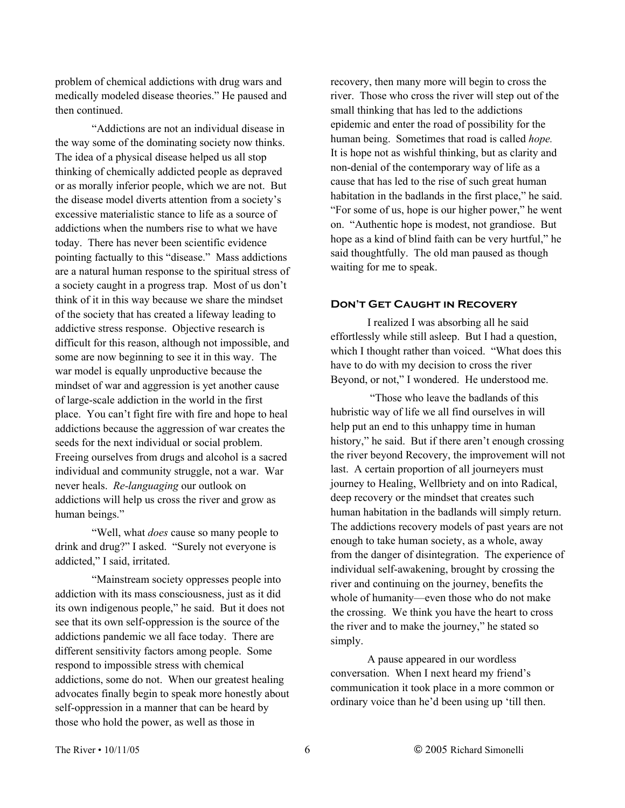problem of chemical addictions with drug wars and medically modeled disease theories." He paused and then continued.

"Addictions are not an individual disease in the way some of the dominating society now thinks. The idea of a physical disease helped us all stop thinking of chemically addicted people as depraved or as morally inferior people, which we are not. But the disease model diverts attention from a society's excessive materialistic stance to life as a source of addictions when the numbers rise to what we have today. There has never been scientific evidence pointing factually to this "disease." Mass addictions are a natural human response to the spiritual stress of a society caught in a progress trap. Most of us don't think of it in this way because we share the mindset of the society that has created a lifeway leading to addictive stress response. Objective research is difficult for this reason, although not impossible, and some are now beginning to see it in this way. The war model is equally unproductive because the mindset of war and aggression is yet another cause of large-scale addiction in the world in the first place. You can't fight fire with fire and hope to heal addictions because the aggression of war creates the seeds for the next individual or social problem. Freeing ourselves from drugs and alcohol is a sacred individual and community struggle, not a war. War never heals. *Re-languaging* our outlook on addictions will help us cross the river and grow as human beings."

"Well, what *does* cause so many people to drink and drug?" I asked. "Surely not everyone is addicted," I said, irritated.

"Mainstream society oppresses people into addiction with its mass consciousness, just as it did its own indigenous people," he said. But it does not see that its own self-oppression is the source of the addictions pandemic we all face today. There are different sensitivity factors among people. Some respond to impossible stress with chemical addictions, some do not. When our greatest healing advocates finally begin to speak more honestly about self-oppression in a manner that can be heard by those who hold the power, as well as those in

recovery, then many more will begin to cross the river. Those who cross the river will step out of the small thinking that has led to the addictions epidemic and enter the road of possibility for the human being. Sometimes that road is called *hope.* It is hope not as wishful thinking, but as clarity and non-denial of the contemporary way of life as a cause that has led to the rise of such great human habitation in the badlands in the first place," he said. "For some of us, hope is our higher power," he went on. "Authentic hope is modest, not grandiose. But hope as a kind of blind faith can be very hurtful," he said thoughtfully. The old man paused as though waiting for me to speak.

#### **Don't Get Caught in Recovery**

I realized I was absorbing all he said effortlessly while still asleep. But I had a question, which I thought rather than voiced. "What does this have to do with my decision to cross the river Beyond, or not," I wondered. He understood me.

 "Those who leave the badlands of this hubristic way of life we all find ourselves in will help put an end to this unhappy time in human history," he said. But if there aren't enough crossing the river beyond Recovery, the improvement will not last. A certain proportion of all journeyers must journey to Healing, Wellbriety and on into Radical, deep recovery or the mindset that creates such human habitation in the badlands will simply return. The addictions recovery models of past years are not enough to take human society, as a whole, away from the danger of disintegration. The experience of individual self-awakening, brought by crossing the river and continuing on the journey, benefits the whole of humanity—even those who do not make the crossing. We think you have the heart to cross the river and to make the journey," he stated so simply.

A pause appeared in our wordless conversation. When I next heard my friend's communication it took place in a more common or ordinary voice than he'd been using up 'till then.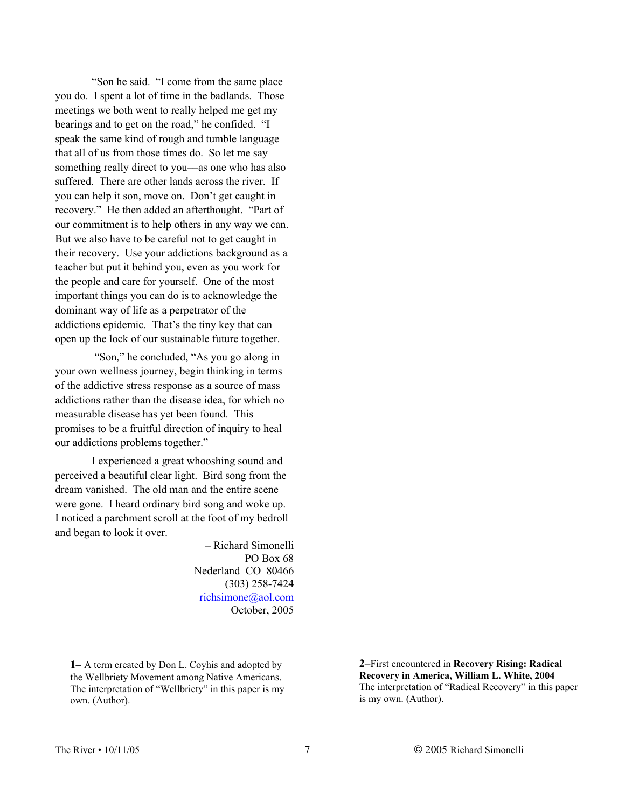"Son he said. "I come from the same place you do. I spent a lot of time in the badlands. Those meetings we both went to really helped me get my bearings and to get on the road," he confided. "I speak the same kind of rough and tumble language that all of us from those times do. So let me say something really direct to you––as one who has also suffered. There are other lands across the river. If you can help it son, move on. Don't get caught in recovery." He then added an afterthought. "Part of our commitment is to help others in any way we can. But we also have to be careful not to get caught in their recovery. Use your addictions background as a teacher but put it behind you, even as you work for the people and care for yourself. One of the most important things you can do is to acknowledge the dominant way of life as a perpetrator of the addictions epidemic. That's the tiny key that can open up the lock of our sustainable future together.

 "Son," he concluded, "As you go along in your own wellness journey, begin thinking in terms of the addictive stress response as a source of mass addictions rather than the disease idea, for which no measurable disease has yet been found. This promises to be a fruitful direction of inquiry to heal our addictions problems together."

I experienced a great whooshing sound and perceived a beautiful clear light. Bird song from the dream vanished. The old man and the entire scene were gone. I heard ordinary bird song and woke up. I noticed a parchment scroll at the foot of my bedroll and began to look it over.

> – Richard Simonelli PO Box 68 Nederland CO 80466 (303) 258-7424 richsimone@aol.com October, 2005

**1–** A term created by Don L. Coyhis and adopted by the Wellbriety Movement among Native Americans. The interpretation of "Wellbriety" in this paper is my own. (Author).

**2**–First encountered in **Recovery Rising: Radical Recovery in America, William L. White, 2004** The interpretation of "Radical Recovery" in this paper is my own. (Author).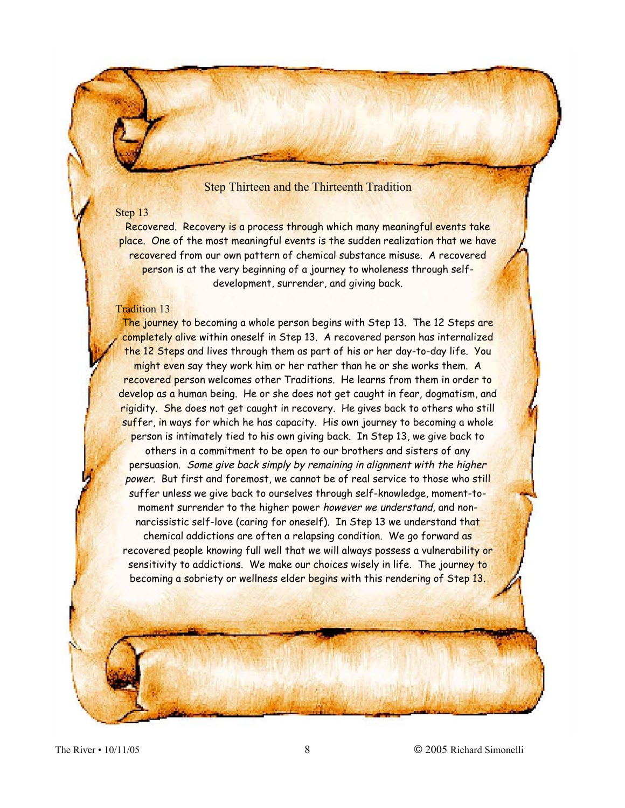#### Step Thirteen and the Thirteenth Tradition

### Step 13

Recovered. Recovery is a process through which many meaningful events take place. One of the most meaningful events is the sudden realization that we have recovered from our own pattern of chemical substance misuse. A recovered person is at the very beginning of a journey to wholeness through selfdevelopment, surrender, and giving back.

#### Tradition 13

The journey to becoming a whole person begins with Step 13. The 12 Steps are completely alive within oneself in Step 13. A recovered person has internalized the 12 Steps and lives through them as part of his or her day-to-day life. You might even say they work him or her rather than he or she works them. A recovered person welcomes other Traditions. He learns from them in order to develop as a human being. He or she does not get caught in fear, dogmatism, and rigidity. She does not get caught in recovery. He gives back to others who still suffer, in ways for which he has capacity. His own journey to becoming a whole person is intimately tied to his own giving back. In Step 13, we give back to others in a commitment to be open to our brothers and sisters of any persuasion. Some give back simply by remaining in alignment with the higher power. But first and foremost, we cannot be of real service to those who still suffer unless we give back to ourselves through self-knowledge, moment-tomoment surrender to the higher power however we understand, and nonnarcissistic self-love (caring for oneself). In Step 13 we understand that chemical addictions are often a relapsing condition. We go forward as recovered people knowing full well that we will always possess a vulnerability or sensitivity to addictions. We make our choices wisely in life. The journey to becoming a sobriety or wellness elder begins with this rendering of Step 13.